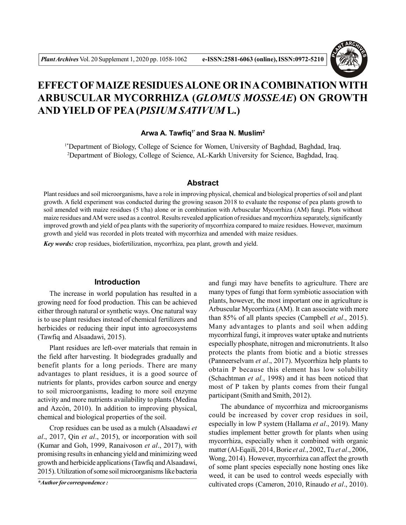

# **EFFECT OF MAIZE RESIDUES ALONE OR IN A COMBINATION WITH ARBUSCULAR MYCORRHIZA (***GLOMUS MOSSEAE***) ON GROWTH AND YIELD OF PEA (***PISIUM SATIVUM* **L.)**

## **Arwa A. Tawfiq1\* and Sraa N. Muslim<sup>2</sup>**

<sup>1\*</sup>Department of Biology, College of Science for Women, University of Baghdad, Baghdad, Iraq. <sup>2</sup>Department of Biology, College of Science, AL-Karkh University for Science, Baghdad, Iraq.

## **Abstract**

Plant residues and soil microorganisms, have a role in improving physical, chemical and biological properties of soil and plant growth. A field experiment was conducted during the growing season 2018 to evaluate the response of pea plants growth to soil amended with maize residues (5 t/ha) alone or in combination with Arbuscular Mycorrhiza (AM) fungi. Plots without maize residues and AM were used as a control. Results revealed application of residues and mycorrhiza separately, significantly improved growth and yield of pea plants with the superiority of mycorrhiza compared to maize residues. However, maximum growth and yield was recorded in plots treated with mycorrhiza and amended with maize residues.

*Key words:* crop residues, biofertilization, mycorrhiza, pea plant, growth and yield.

# **Introduction**

The increase in world population has resulted in a growing need for food production. This can be achieved either through natural or synthetic ways. One natural way is to use plant residues instead of chemical fertilizers and herbicides or reducing their input into agroecosystems (Tawfiq and Alsaadawi, 2015).

Plant residues are left-over materials that remain in the field after harvesting. It biodegrades gradually and benefit plants for a long periods. There are many advantages to plant residues, it is a good source of nutrients for plants, provides carbon source and energy to soil microorganisms, leading to more soil enzyme activity and more nutrients availability to plants (Medina and Azcón, 2010). In addition to improving physical, chemical and biological properties of the soil.

Crop residues can be used as a mulch (Alsaadawi *et al*., 2017, Qin *et al*., 2015), or incorporation with soil (Kumar and Goh, 1999, Ranaivoson *et al*., 2017), with promising results in enhancing yield and minimizing weed growth and herbicide applications (Tawfiq and Alsaadawi, 2015). Utilization of some soil microorganisms like bacteria

*\*Author for correspondence :*

and fungi may have benefits to agriculture. There are many types of fungi that form symbiotic association with plants, however, the most important one in agriculture is Arbuscular Mycorrhiza (AM). It can associate with more than 85% of all plants species (Campbell *et al*., 2015). Many advantages to plants and soil when adding mycorrhizal fungi, it improves water uptake and nutrients especially phosphate, nitrogen and micronutrients. It also protects the plants from biotic and a biotic stresses (Panneerselvam *et al*., 2017). Mycorrhiza help plants to obtain P because this element has low solubility (Schachtman *et al.*, 1998) and it has been noticed that most of P taken by plants comes from their fungal participant (Smith and Smith, 2012).

The abundance of mycorrhiza and microorganisms could be increased by cover crop residues in soil, especially in low P system (Hallama *et al*., 2019). Many studies implement better growth for plants when using mycorrhiza, especially when it combined with organic matter (Al-Eqaili, 2014, Borie *et al.*, 2002, Tu *et al*., 2006, Wong, 2014). However, mycorrhiza can affect the growth of some plant species especially none hosting ones like weed, it can be used to control weeds especially with cultivated crops (Cameron, 2010, Rinaudo *et al*., 2010).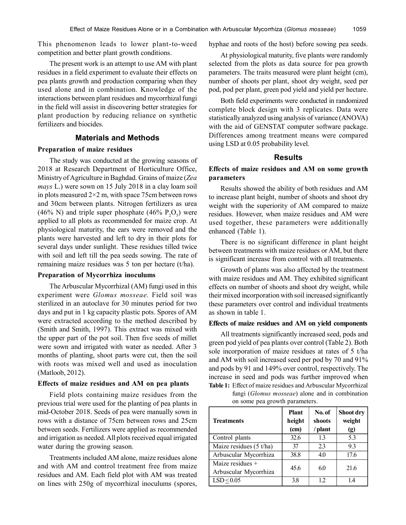This phenomenon leads to lower plant-to-weed competition and better plant growth conditions.

The present work is an attempt to use AM with plant residues in a field experiment to evaluate their effects on pea plants growth and production comparing when they used alone and in combination. Knowledge of the interactions between plant residues and mycorrhizal fungi in the field will assist in discovering better strategies for plant production by reducing reliance on synthetic fertilizers and biocides.

# **Materials and Methods**

## **Preparation of maize residues**

The study was conducted at the growing seasons of 2018 at Research Department of Horticulture Office, Ministry of Agriculture in Baghdad. Grains of maize (*Zea mays* L.) were sown on 15 July 2018 in a clay loam soil in plots measured  $2\times 2$  m, with space 75cm between rows and 30cm between plants. Nitrogen fertilizers as urea (46% N) and triple super phosphate (46%  $P_2O_5$ ) were applied to all plots as recommended for maize crop. At physiological maturity, the ears were removed and the plants were harvested and left to dry in their plots for several days under sunlight. These residues tilled twice with soil and left till the pea seeds sowing. The rate of remaining maize residues was 5 ton per hectare (t/ha).

### **Preparation of Mycorrhiza inoculums**

The Arbuscular Mycorrhizal (AM) fungi used in this experiment were *Glomus mosseae.* Field soil was sterilized in an autoclave for 30 minutes period for two days and put in 1 kg capacity plastic pots. Spores of AM were extracted according to the method described by (Smith and Smith, 1997). This extract was mixed with the upper part of the pot soil. Then five seeds of millet were sown and irrigated with water as needed. After 3 months of planting, shoot parts were cut, then the soil with roots was mixed well and used as inoculation (Matloob, 2012).

## **Effects of maize residues and AM on pea plants**

Field plots containing maize residues from the previous trial were used for the planting of pea plants in mid-October 2018. Seeds of pea were manually sown in rows with a distance of 75cm between rows and 25cm between seeds. Fertilizers were applied as recommended and irrigation as needed. All plots received equal irrigated water during the growing season.

Treatments included AM alone, maize residues alone and with AM and control treatment free from maize residues and AM. Each field plot with AM was treated on lines with 250g of mycorrhizal inoculums (spores,

hyphae and roots of the host) before sowing pea seeds.

At physiological maturity, five plants were randomly selected from the plots as data source for pea growth parameters. The traits measured were plant height (cm), number of shoots per plant, shoot dry weight, seed per pod, pod per plant, green pod yield and yield per hectare.

Both field experiments were conducted in randomized complete block design with 3 replicates. Data were statistically analyzed using analysis of variance (ANOVA) with the aid of GENSTAT computer software package. Differences among treatment means were compared using LSD at 0.05 probability level.

#### **Results**

## **Effects of maize residues and AM on some growth parameters**

Results showed the ability of both residues and AM to increase plant height, number of shoots and shoot dry weight with the superiority of AM compared to maize residues. However, when maize residues and AM were used together, these parameters were additionally enhanced (Table 1).

There is no significant difference in plant height between treatments with maize residues or AM, but there is significant increase from control with all treatments.

Growth of plants was also affected by the treatment with maize residues and AM. They exhibited significant effects on number of shoots and shoot dry weight, while their mixed incorporation with soil increased significantly these parameters over control and individual treatments as shown in table 1.

#### **Effects of maize residues and AM on yield components**

All treatments significantly increased seed, pods and green pod yield of pea plants over control (Table 2). Both sole incorporation of maize residues at rates of 5 t/ha and AM with soil increased seed per pod by 70 and 91% and pods by 91 and 149% over control, respectively. The increase in seed and pods was further improved when **Table 1:** Effect of maize residues and Arbuscular Mycorrhizal fungi (*Glomus mosseae*) alone and in combination on some pea growth parameters.

**Plant** | **No. of** | **Shoot dry Treatments height shoots weight (cm) / plant (g)** Control plants 1.3 1.3 5.3 Maize residues  $(5 t/ha$   $\qquad \qquad$  37  $\qquad$  2.3  $\qquad$  9.3 Arbuscular Mycorrhiza | 38.8 | 4.0 | 17.6 Maize residues + Arbuscular Mycorrhiza  $\begin{vmatrix} 45.6 & 6.0 \end{vmatrix}$  21.6  $LSD \leq 0.05$  3.8 1.2 1.4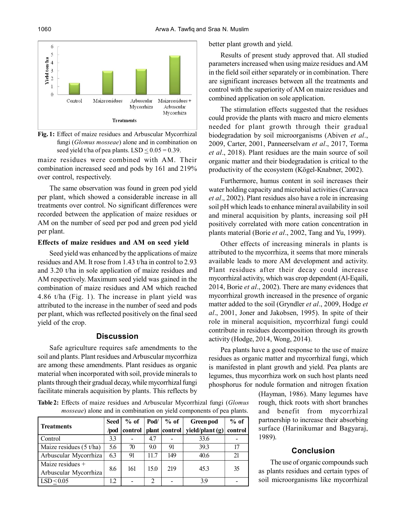

**Fig. 1:** Effect of maize residues and Arbuscular Mycorrhizal fungi (*Glomus mosseae*) alone and in combination on seed yield t/ha of pea plants. LSD  $\leq$  0.05 = 0.39.

maize residues were combined with AM. Their combination increased seed and pods by 161 and 219% over control, respectively.

The same observation was found in green pod yield per plant, which showed a considerable increase in all treatments over control. No significant differences were recorded between the application of maize residues or AM on the number of seed per pod and green pod yield per plant.

#### **Effects of maize residues and AM on seed yield**

Seed yield was enhanced by the applications of maize residues and AM. It rose from 1.43 t/ha in control to 2.93 and 3.20 t/ha in sole application of maize residues and AM respectively. Maximum seed yield was gained in the combination of maize residues and AM which reached 4.86 t/ha (Fig. 1). The increase in plant yield was attributed to the increase in the number of seed and pods per plant, which was reflected positively on the final seed yield of the crop.

# **Discussion**

Safe agriculture requires safe amendments to the soil and plants. Plant residues and Arbuscular mycorrhiza are among these amendments. Plant residues as organic material when incorporated with soil, provide minerals to plants through their gradual decay, while mycorrhizal fungi facilitate minerals acquisition by plants. This reflects by

**Table 2:** Effects of maize residues and Arbuscular Mycorrhizal fungi (*Glomus mosseae*) alone and in combination on yield components of pea plants.

| <b>Treatments</b>                         | Seed | $%$ of  |      | Pod/ $\%$ of  | Green pod       | $%$ of  |
|-------------------------------------------|------|---------|------|---------------|-----------------|---------|
|                                           | /pod | control |      | plant control | yield/plant (g) | control |
| Control                                   | 3.3  |         | 4.7  |               | 33.6            |         |
| Maize residues $(5 t/ha)$                 | 5.6  | 70      | 9.0  | 91            | 39.3            |         |
| Arbuscular Mycorrhiza                     | 6.3  | 91      | 11.7 | 149           | 40.6            | 21      |
| Maize residues +<br>Arbuscular Mycorrhiza | 8.6  | 161     | 15.0 | 219           | 45.3            | 35      |
| LSD < 0.05                                | 1.2  |         | 2    |               | 39              |         |

better plant growth and yield.

Results of present study approved that. All studied parameters increased when using maize residues and AM in the field soil either separately or in combination. There are significant increases between all the treatments and control with the superiority of AM on maize residues and combined application on sole application.

The stimulation effects suggested that the residues could provide the plants with macro and micro elements needed for plant growth through their gradual biodegradation by soil microorganisms (Abiven *et al*., 2009, Carter, 2001, Panneerselvam *et al*., 2017, Torma *et al*., 2018). Plant residues are the main source of soil organic matter and their biodegradation is critical to the productivity of the ecosystem (Kögel-Knabner, 2002).

Furthermore, humus content in soil increases their water holding capacity and microbial activities (Caravaca *et al*., 2002). Plant residues also have a role in increasing soil pH which leads to enhance mineral availability in soil and mineral acquisition by plants, increasing soil pH positively correlated with more cation concentration in plants material (Borie *et al*., 2002, Tang and Yu, 1999).

Other effects of increasing minerals in plants is attributed to the mycorrhiza, it seems that more minerals available leads to more AM development and activity. Plant residues after their decay could increase mycorrhizal activity, which was crop dependent (Al-Eqaili, 2014, Borie *et al*., 2002). There are many evidences that mycorrhizal growth increased in the presence of organic matter added to the soil (Gryndler *et al*., 2009, Hodge *et al*., 2001, Joner and Jakobsen, 1995). In spite of their role in mineral acquisition, mycorrhizal fungi could contribute in residues decomposition through its growth activity (Hodge, 2014, Wong, 2014).

Pea plants have a good response to the use of maize residues as organic matter and mycorrhizal fungi, which is manifested in plant growth and yield. Pea plants are legumes, thus mycorrhiza work on such host plants need phosphorus for nodule formation and nitrogen fixation

> (Hayman, 1986). Many legumes have rough, thick roots with short branches and benefit from mycorrhizal partnership to increase their absorbing surface (Harinikumar and Bagyaraj, 1989).

# **Conclusion**

The use of organic compounds such as plants residues and certain types of soil microorganisms like mycorrhizal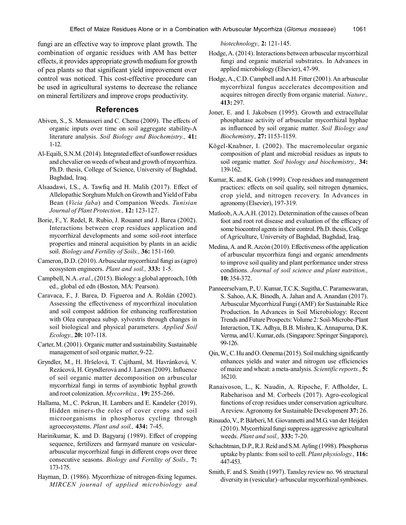fungi are an effective way to improve plant growth. The combination of organic residues with AM has better effects, it provides appropriate growth medium for growth of pea plants so that significant yield improvement over control was noticed. This cost-effective procedure can be used in agricultural systems to decrease the reliance on mineral fertilizers and improve crops productivity.

# **References**

- Abiven, S., S. Menasseri and C. Chenu (2009). The effects of organic inputs over time on soil aggregate stability-A literature analysis. *Soil Biology and Biochemistry.,* **41:** 1-12.
- Al-Eqaili, S.N.M. (2014). Integrated effect of sunflower residues and chevalier on weeds of wheat and growth of mycorrhiza. Ph.D. thesis, College of Science, University of Baghdad, Baghdad, Iraq.
- Alsaadawi, I.S., A. Tawfiq and H. Malih (2017). Effect of Allelopathic Sorghum Mulch on Growth and Yield of Faba Bean (*Vicia faba*) and Companion Weeds. *Tunisian Journal of Plant Protection.,* **12:** 123-127.
- Borie, F., Y. Redel, R. Rubio, J. Rouanet and J. Barea (2002). Interactions between crop residues application and mycorrhizal developments and some soil-root interface properties and mineral acquisition by plants in an acidic soil. *Biology and Fertility of Soils.,* **36:** 151-160.
- Cameron, D.D. (2010). Arbuscular mycorrhizal fungi as (agro) ecosystem engineers. *Plant and soil.,* **333:** 1-5.
- Campbell, N.A. *et al*., (2015). Biology: a global approach, 10th ed., global ed edn (Boston, MA: Pearson).
- Caravaca, F., J. Barea, D. Figueroa and A. Roldán (2002). Assessing the effectiveness of mycorrhizal inoculation and soil compost addition for enhancing reafforestation with Olea europaea subsp. sylvestris through changes in soil biological and physical parameters. *Applied Soil Ecology.,* **20:** 107-118.
- Carter, M. (2001). Organic matter and sustainability. Sustainable management of soil organic matter, 9-22.
- Gryndler, M., H. Hršelová, T. Cajthaml, M. Havránková, V. Rezácová, H. Gryndlerová and J. Larsen (2009). Influence of soil organic matter decomposition on arbuscular mycorrhizal fungi in terms of asymbiotic hyphal growth and root colonization. *Mycorrhiza.,* **19:** 255-266.
- Hallama, M., C. Pekrun, H. Lambers and E. Kandeler (2019). Hidden miners-the roles of cover crops and soil microorganisms in phosphorus cycling through agroecosystems. *Plant and soil.,* **434:** 7-45.
- Harinikumar, K. and D. Bagyaraj (1989). Effect of cropping sequence, fertilizers and farmyard manure on vesiculararbuscular mycorrhizal fungi in different crops over three consecutive seasons. *Biology and Fertility of Soils.,* **7:** 173-175.
- Hayman, D. (1986). Mycorrhizae of nitrogen-fixing legumes. *MIRCEN journal of applied microbiology and*

*biotechnology.,* **2:** 121-145.

- Hodge, A. (2014). Interactions between arbuscular mycorrhizal fungi and organic material substrates. In Advances in applied microbiology (Elsevier), 47-99.
- Hodge, A., C.D. Campbell and A.H. Fitter (2001). An arbuscular mycorrhizal fungus accelerates decomposition and acquires nitrogen directly from organic material. *Nature.,* **413:** 297.
- Joner, E. and I. Jakobsen (1995). Growth and extracellular phosphatase activity of arbuscular mycorrhizal hyphae as influenced by soil organic matter. *Soil Biology and Biochemistry.,* **27:** 1153-1159.
- Kögel-Knabner, I. (2002). The macromolecular organic composition of plant and microbial residues as inputs to soil organic matter. *Soil biology and biochemistry.,* **34:** 139-162.
- Kumar, K. and K. Goh (1999). Crop residues and management practices: effects on soil quality, soil nitrogen dynamics, crop yield, and nitrogen recovery. In Advances in agronomy (Elsevier), 197-319.
- Matloob, A.A.A.H. (2012). Determination of the causes of bean foot and root rot disease and evaluation of the efficacy of some biocontrol agents in their control. Ph.D. thesis, College of Agriculture, University of Baghdad, Baghdad, Iraq.
- Medina, A. and R. Azcón (2010). Effectiveness of the application of arbuscular mycorrhiza fungi and organic amendments to improve soil quality and plant performance under stress conditions. *Journal of soil science and plant nutrition.,* **10:** 354-372.
- Panneerselvam, P., U. Kumar, T.C.K. Sugitha, C. Parameswaran, S. Sahoo, A.K. Binodh, A. Jahan and A. Anandan (2017). Arbuscular Mycorrhizal Fungi (AMF) for Sustainable Rice Production. In Advances in Soil Microbiology: Recent Trends and Future Prospects: Volume 2: Soil-Microbe-Plant Interaction, T.K. Adhya, B.B. Mishra, K. Annapurna, D.K. Verma, and U. Kumar, eds. (Singapore: Springer Singapore), 99-126.
- Qin, W., C. Hu and O. Oenema (2015). Soil mulching significantly enhances yields and water and nitrogen use efficiencies of maize and wheat: a meta-analysis. *Scientific reports.,* **5:** 16210.
- Ranaivoson, L., K. Naudin, A. Ripoche, F. Affholder, L. Rabeharisoa and M. Corbeels (2017). Agro-ecological functions of crop residues under conservation agriculture. A review. Agronomy for Sustainable Development **37:** 26.
- Rinaudo, V., P. Bàrberi, M. Giovannetti and M.G. van der Heijden (2010). Mycorrhizal fungi suppress aggressive agricultural weeds. *Plant and soil.,* **333:** 7-20.
- Schachtman, D.P., R.J. Reid and S.M. Ayling (1998). Phosphorus uptake by plants: from soil to cell. *Plant physiology.,* **116:** 447-453.
- Smith, F. and S. Smith (1997). Tansley review no. 96 structural diversity in (vesicular)–arbuscular mycorrhizal symbioses.